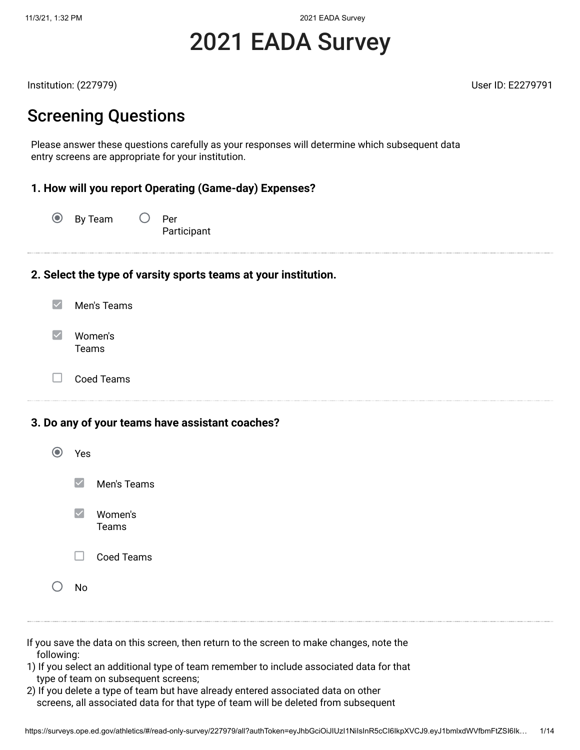11/3/21, 1:32 PM 2021 EADA Survey

# 2021 EADA Survey

Institution: (227979) User ID: E2279791

### Screening Questions

Please answer these questions carefully as your responses will determine which subsequent data entry screens are appropriate for your institution.

#### **1. How will you report Operating (Game-day) Expenses?**

 $\circledcirc$  By Team  $\circlearrowright$  Per Participant

#### **2. Select the type of varsity sports teams at your institution.**

| Men's Teams      |
|------------------|
| Women's<br>Teams |

 $\Box$ 

Coed Teams

**3. Do any of your teams have assistant coaches?**

| Yes                    |                         |
|------------------------|-------------------------|
| $\vert\downarrow\vert$ | Men's Teams             |
| $\blacktriangledown$   | Women's<br><b>Teams</b> |
| $\Box$                 | <b>Coed Teams</b>       |
| N٥                     |                         |

- If you save the data on this screen, then return to the screen to make changes, note the following:
- 1) If you select an additional type of team remember to include associated data for that type of team on subsequent screens;
- 2) If you delete a type of team but have already entered associated data on other screens, all associated data for that type of team will be deleted from subsequent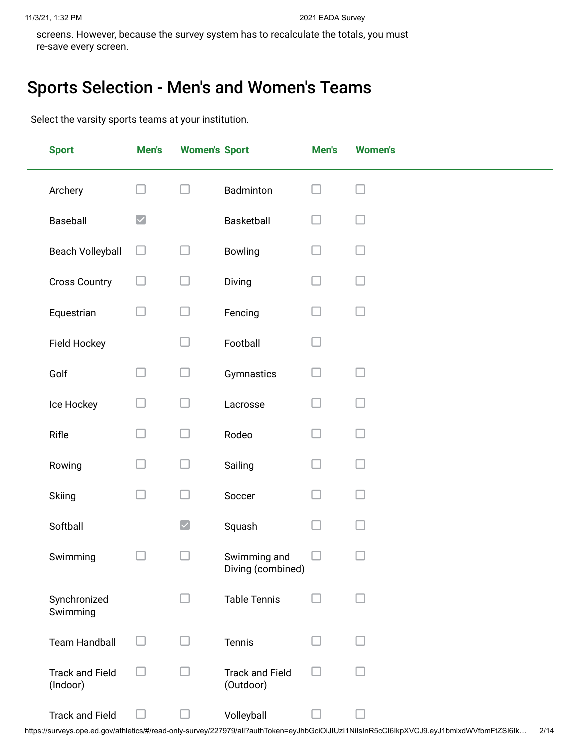screens. However, because the survey system has to recalculate the totals, you must re-save every screen.

### Sports Selection - Men's and Women's Teams

Select the varsity sports teams at your institution.

| <b>Sport</b>                       | Men's                | <b>Women's Sport</b> |                                     | Men's                    | <b>Women's</b> |
|------------------------------------|----------------------|----------------------|-------------------------------------|--------------------------|----------------|
| Archery                            |                      |                      | Badminton                           |                          |                |
| Baseball                           | $\blacktriangledown$ |                      | Basketball                          | ×                        |                |
| <b>Beach Volleyball</b>            | $\Box$               | - 1                  | Bowling                             | $\overline{\phantom{a}}$ |                |
| <b>Cross Country</b>               | $\mathcal{L}$        | - 1                  | Diving                              | $\overline{\phantom{0}}$ | H              |
| Equestrian                         | - 1                  |                      | Fencing                             |                          |                |
| Field Hockey                       |                      |                      | Football                            |                          |                |
| Golf                               | l. I                 | $\mathcal{A}$        | Gymnastics                          | $\mathcal{A}$            |                |
| Ice Hockey                         | П                    |                      | Lacrosse                            | ×.                       |                |
| Rifle                              | $\Box$               | $\mathcal{A}$        | Rodeo                               |                          |                |
| Rowing                             | l. I                 |                      | Sailing                             | ×                        |                |
| Skiing                             | $\Box$               |                      | Soccer                              | $\mathcal{L}$            |                |
| Softball                           |                      | $\blacktriangledown$ | Squash                              | П                        | $\mathcal{A}$  |
| Swimming                           |                      |                      | Swimming and<br>Diving (combined)   |                          |                |
| Synchronized<br>Swimming           |                      |                      | <b>Table Tennis</b>                 |                          |                |
| <b>Team Handball</b>               |                      |                      | Tennis                              |                          |                |
| <b>Track and Field</b><br>(Indoor) |                      |                      | <b>Track and Field</b><br>(Outdoor) |                          |                |
| <b>Track and Field</b>             |                      |                      | Volleyball                          |                          |                |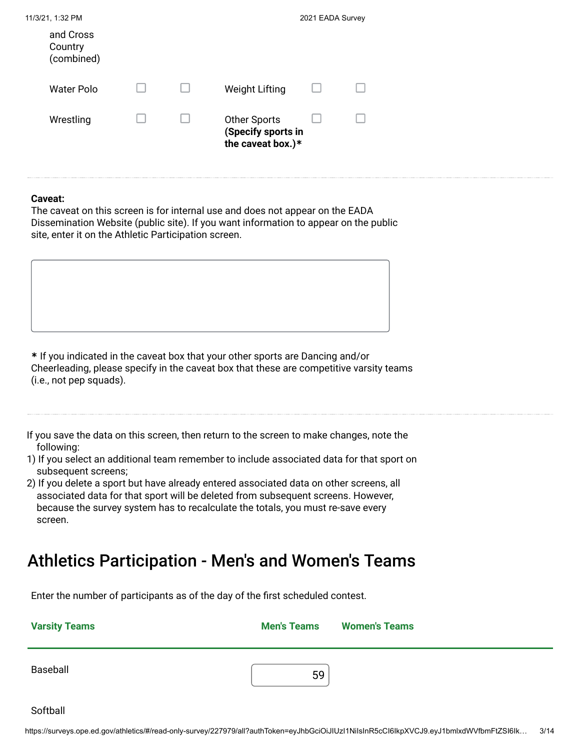| 11/3/21, 1:32 PM                   |  |                                                                | 2021 EADA Survey |  |
|------------------------------------|--|----------------------------------------------------------------|------------------|--|
| and Cross<br>Country<br>(combined) |  |                                                                |                  |  |
| Water Polo                         |  | <b>Weight Lifting</b>                                          |                  |  |
| Wrestling                          |  | <b>Other Sports</b><br>(Specify sports in<br>the caveat box.)* |                  |  |

#### **Caveat:**

The caveat on this screen is for internal use and does not appear on the EADA Dissemination Website (public site). If you want information to appear on the public site, enter it on the Athletic Participation screen.

**\*** If you indicated in the caveat box that your other sports are Dancing and/or Cheerleading, please specify in the caveat box that these are competitive varsity teams (i.e., not pep squads).

If you save the data on this screen, then return to the screen to make changes, note the following:

1) If you select an additional team remember to include associated data for that sport on subsequent screens;

2) If you delete a sport but have already entered associated data on other screens, all associated data for that sport will be deleted from subsequent screens. However, because the survey system has to recalculate the totals, you must re-save every screen.

### Athletics Participation - Men's and Women's Teams

Enter the number of participants as of the day of the first scheduled contest.

| <b>Varsity Teams</b> | <b>Men's Teams</b> | <b>Women's Teams</b> |
|----------------------|--------------------|----------------------|
| Baseball             | 59                 |                      |

Softball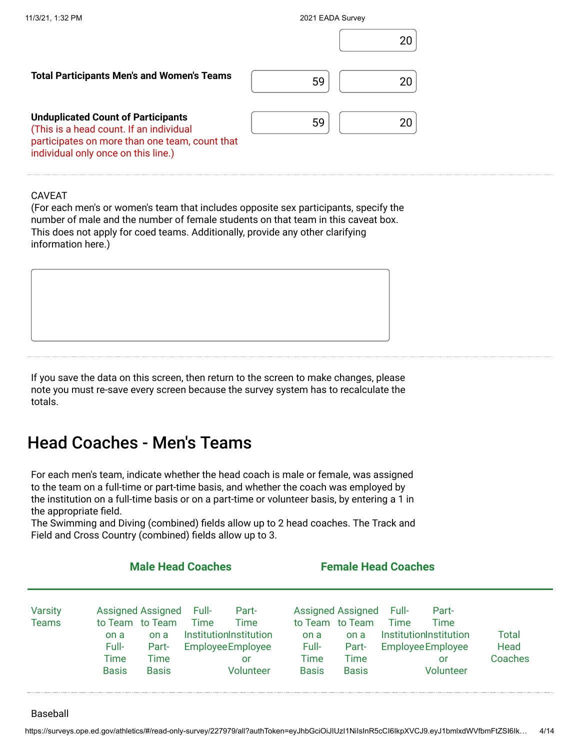| 11/3/21, 1:32 PM                                                                                                                                                              | 2021 EADA Survey |
|-------------------------------------------------------------------------------------------------------------------------------------------------------------------------------|------------------|
|                                                                                                                                                                               | 20               |
| <b>Total Participants Men's and Women's Teams</b>                                                                                                                             | 59<br>20         |
| <b>Unduplicated Count of Participants</b><br>(This is a head count. If an individual<br>participates on more than one team, count that<br>individual only once on this line.) | 59<br>20         |

#### CAVEAT

(For each men's or women's team that includes opposite sex participants, specify the number of male and the number of female students on that team in this caveat box. This does not apply for coed teams. Additionally, provide any other clarifying information here.)

If you save the data on this screen, then return to the screen to make changes, please note you must re-save every screen because the survey system has to recalculate the totals.

### Head Coaches - Men's Teams

For each men's team, indicate whether the head coach is male or female, was assigned to the team on a full-time or part-time basis, and whether the coach was employed by the institution on a full-time basis or on a part-time or volunteer basis, by entering a 1 in the appropriate field.

The Swimming and Diving (combined) fields allow up to 2 head coaches. The Track and Field and Cross Country (combined) fields allow up to 3.

|                                |                                                          | <b>Male Head Coaches</b>                                          |               |                                                                                         |                                       | <b>Female Head Coaches</b>                                                           |               |                                                                                        |                          |
|--------------------------------|----------------------------------------------------------|-------------------------------------------------------------------|---------------|-----------------------------------------------------------------------------------------|---------------------------------------|--------------------------------------------------------------------------------------|---------------|----------------------------------------------------------------------------------------|--------------------------|
| <b>Varsity</b><br><b>Teams</b> | to Team to Team<br>on a<br>Full-<br>Time<br><b>Basis</b> | <b>Assigned Assigned</b><br>on a<br>Part-<br>Time<br><b>Basis</b> | Full-<br>Time | Part-<br>Time<br>Institution Institution<br><b>Employee Employee</b><br>or<br>Volunteer | on a<br>Full-<br>Time<br><b>Basis</b> | <b>Assigned Assigned</b><br>to Team to Team<br>on a<br>Part-<br>Time<br><b>Basis</b> | Full-<br>Time | Part-<br>Time<br>InstitutionInstitution<br><b>Employee Employee</b><br>or<br>Volunteer | Total<br>Head<br>Coaches |

#### Baseball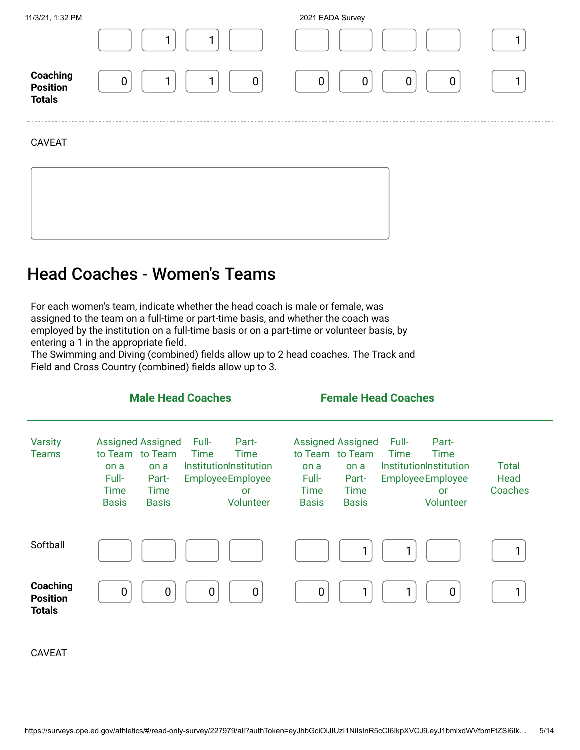| 11/3/21, 1:32 PM |  |
|------------------|--|
|                  |  |

2021 EADA Survey

| $\sim$                                              |                  |                       |  |
|-----------------------------------------------------|------------------|-----------------------|--|
| <b>Coaching</b><br><b>Position</b><br><b>Totals</b> | 0<br>۰<br>-<br>ັ | ⌒<br>U<br>U<br>U<br>u |  |

#### CAVEAT

### Head Coaches - Women's Teams

For each women's team, indicate whether the head coach is male or female, was assigned to the team on a full-time or part-time basis, and whether the coach was employed by the institution on a full-time basis or on a part-time or volunteer basis, by entering a 1 in the appropriate field.

The Swimming and Diving (combined) fields allow up to 2 head coaches. The Track and Field and Cross Country (combined) fields allow up to 3.

|                                              | <b>Male Head Coaches</b>                                                                                                                                                                                                                 | <b>Female Head Coaches</b>                                                                                                                                                                                                                      |                                 |
|----------------------------------------------|------------------------------------------------------------------------------------------------------------------------------------------------------------------------------------------------------------------------------------------|-------------------------------------------------------------------------------------------------------------------------------------------------------------------------------------------------------------------------------------------------|---------------------------------|
| <b>Varsity</b><br><b>Teams</b>               | <b>Assigned Assigned</b><br>Part-<br>Full-<br>to Team to Team<br>Time<br>Time<br>InstitutionInstitution<br>on a<br>on a<br>Full-<br><b>Employee Employee</b><br>Part-<br>Time<br>Time<br>or<br><b>Basis</b><br>Volunteer<br><b>Basis</b> | <b>Assigned Assigned</b><br>Part-<br>Full-<br>to Team to Team<br>Time<br>Time<br>InstitutionInstitution<br>on a<br>on a<br>Full-<br><b>Employee Employee</b><br>Part-<br><b>Time</b><br>Time<br>or<br>Volunteer<br><b>Basis</b><br><b>Basis</b> | <b>Total</b><br>Head<br>Coaches |
| Softball                                     |                                                                                                                                                                                                                                          |                                                                                                                                                                                                                                                 |                                 |
| Coaching<br><b>Position</b><br><b>Totals</b> | 0<br>0<br>O<br>0                                                                                                                                                                                                                         | 0<br>$\overline{0}$                                                                                                                                                                                                                             |                                 |

CAVEAT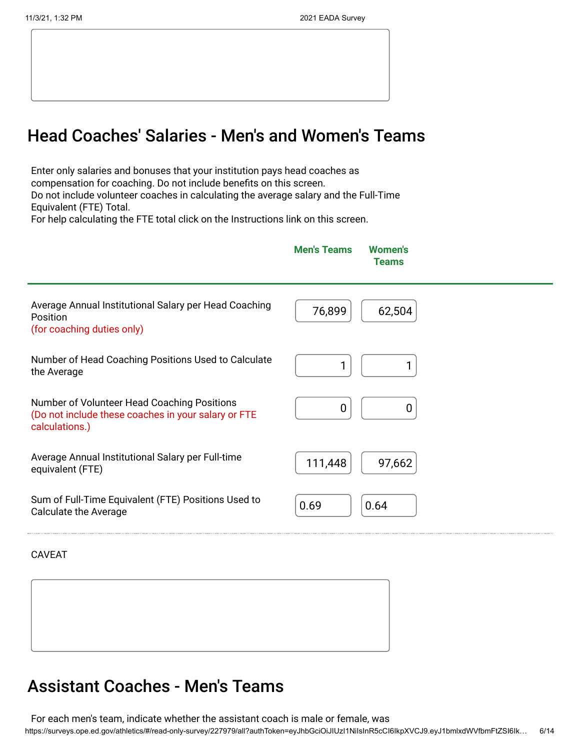### Head Coaches' Salaries - Men's and Women's Teams

Enter only salaries and bonuses that your institution pays head coaches as compensation for coaching. Do not include benefits on this screen. Do not include volunteer coaches in calculating the average salary and the Full-Time Equivalent (FTE) Total.

For help calculating the FTE total click on the Instructions link on this screen.

|                                                                                                                      | <b>Men's Teams</b> | <b>Women's</b><br><b>Teams</b> |
|----------------------------------------------------------------------------------------------------------------------|--------------------|--------------------------------|
| Average Annual Institutional Salary per Head Coaching<br>Position<br>(for coaching duties only)                      | 76,899             | 62,504                         |
| Number of Head Coaching Positions Used to Calculate<br>the Average                                                   |                    |                                |
| Number of Volunteer Head Coaching Positions<br>(Do not include these coaches in your salary or FTE<br>calculations.) | 0                  | 0                              |
| Average Annual Institutional Salary per Full-time<br>equivalent (FTE)                                                | 111,448            | 97,662                         |
| Sum of Full-Time Equivalent (FTE) Positions Used to<br><b>Calculate the Average</b>                                  | 0.69               | 0.64                           |
|                                                                                                                      |                    |                                |

CAVEAT

#### Assistant Coaches - Men's Teams

https://surveys.ope.ed.gov/athletics/#/read-only-survey/227979/all?authToken=eyJhbGciOiJIUzI1NiIsInR5cCI6IkpXVCJ9.eyJ1bmlxdWVfbmFtZSI6Ik… 6/14 For each men's team, indicate whether the assistant coach is male or female, was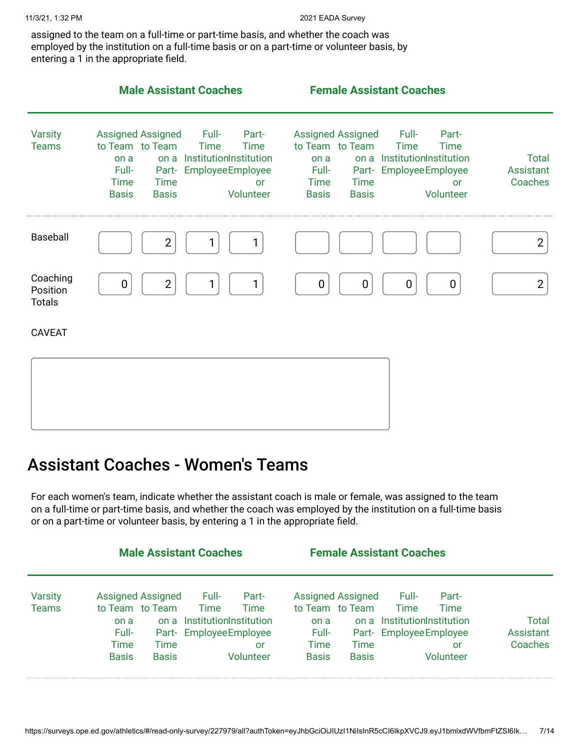assigned to the team on a full-time or part-time basis, and whether the coach was employed by the institution on a full-time basis or on a part-time or volunteer basis, by entering a 1 in the appropriate field.

|                                       | <b>Male Assistant Coaches</b>                                                                                                                                                                                                                                            | <b>Female Assistant Coaches</b>                                                                                                                                                                                                                               |                                      |
|---------------------------------------|--------------------------------------------------------------------------------------------------------------------------------------------------------------------------------------------------------------------------------------------------------------------------|---------------------------------------------------------------------------------------------------------------------------------------------------------------------------------------------------------------------------------------------------------------|--------------------------------------|
| <b>Varsity</b><br><b>Teams</b>        | <b>Assigned Assigned</b><br>Full-<br>Part-<br>to Team to Team<br><b>Time</b><br><b>Time</b><br>on a InstitutionInstitution<br>on a<br><b>Employee Employee</b><br>Full-<br>Part-<br><b>Time</b><br><b>Time</b><br><b>or</b><br><b>Basis</b><br><b>Basis</b><br>Volunteer | <b>Assigned Assigned</b><br>Full-<br>Part-<br>to Team to Team<br><b>Time</b><br><b>Time</b><br>on a InstitutionInstitution<br>on a<br>Part- EmployeeEmployee<br>Full-<br><b>Time</b><br><b>Time</b><br><b>or</b><br><b>Basis</b><br><b>Basis</b><br>Volunteer | <b>Total</b><br>Assistant<br>Coaches |
| Baseball                              | $\overline{2}$<br>1                                                                                                                                                                                                                                                      |                                                                                                                                                                                                                                                               | $\overline{2}$                       |
| Coaching<br>Position<br><b>Totals</b> | $\overline{2}$<br>1<br>0                                                                                                                                                                                                                                                 | $\boldsymbol{0}$<br>$\mathbf 0$<br>0<br>$\mathbf 0$                                                                                                                                                                                                           | $\overline{2}$                       |
| <b>CAVEAT</b>                         |                                                                                                                                                                                                                                                                          |                                                                                                                                                                                                                                                               |                                      |
|                                       |                                                                                                                                                                                                                                                                          |                                                                                                                                                                                                                                                               |                                      |

### Assistant Coaches - Women's Teams

For each women's team, indicate whether the assistant coach is male or female, was assigned to the team on a full-time or part-time basis, and whether the coach was employed by the institution on a full-time basis or on a part-time or volunteer basis, by entering a 1 in the appropriate field.

|              |                          |              | <b>Male Assistant Coaches</b> |           |                 |                          | <b>Female Assistant Coaches</b> |           |           |
|--------------|--------------------------|--------------|-------------------------------|-----------|-----------------|--------------------------|---------------------------------|-----------|-----------|
| Varsity      | <b>Assigned Assigned</b> |              | Full-                         | Part-     |                 | <b>Assigned Assigned</b> | Full-                           | Part-     |           |
| <b>Teams</b> | to Team to Team          |              | <b>Time</b>                   | Time      | to Team to Team |                          | <b>Time</b>                     | Time      |           |
|              | on a                     |              | on a Institution Institution  |           | on a            |                          | on a Institution Institution    |           | Total     |
|              | Full-                    |              | Part- Employee Employee       |           | Full-           |                          | Part- Employee Employee         |           | Assistant |
|              | Time                     | Time         |                               | or        | Time            | Time                     |                                 | Ωľ        | Coaches   |
|              | <b>Basis</b>             | <b>Basis</b> |                               | Jolunteer | <b>Basis</b>    | <b>Basis</b>             |                                 | Jolunteer |           |
|              |                          |              |                               |           |                 |                          |                                 |           |           |
|              |                          |              |                               |           |                 |                          |                                 |           |           |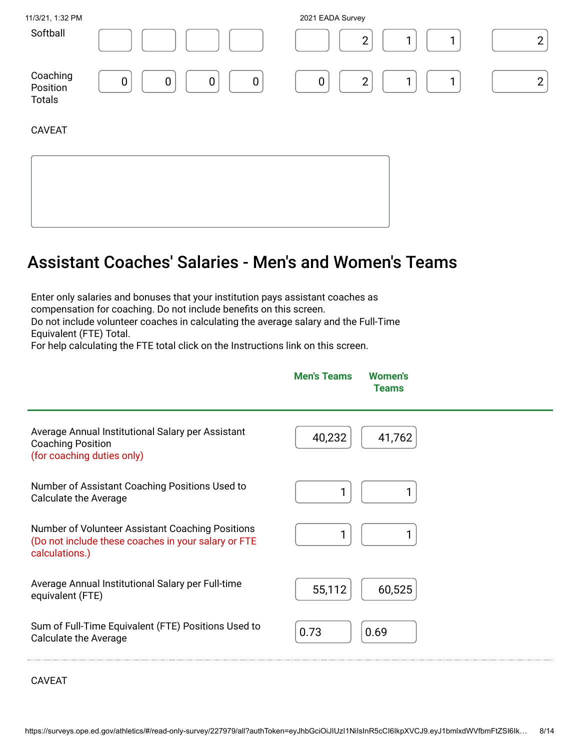| 11/3/21, 1:32 PM                      |        | 2021 EADA Survey |  |
|---------------------------------------|--------|------------------|--|
| Softball                              |        | ◠<br>-           |  |
| Coaching<br>Position<br><b>Totals</b> | 0<br>0 | ◠<br>-<br>0      |  |

CAVEAT

## Assistant Coaches' Salaries - Men's and Women's Teams

Enter only salaries and bonuses that your institution pays assistant coaches as compensation for coaching. Do not include benefits on this screen. Do not include volunteer coaches in calculating the average salary and the Full-Time Equivalent (FTE) Total.

For help calculating the FTE total click on the Instructions link on this screen.

|                                                                                                                           | <b>Men's Teams</b><br><b>Women's</b><br><b>Teams</b> |
|---------------------------------------------------------------------------------------------------------------------------|------------------------------------------------------|
| Average Annual Institutional Salary per Assistant<br><b>Coaching Position</b><br>(for coaching duties only)               | 40,232<br>41,762                                     |
| Number of Assistant Coaching Positions Used to<br><b>Calculate the Average</b>                                            |                                                      |
| Number of Volunteer Assistant Coaching Positions<br>(Do not include these coaches in your salary or FTE<br>calculations.) | 1                                                    |
| Average Annual Institutional Salary per Full-time<br>equivalent (FTE)                                                     | 55,112<br>60,525                                     |
| Sum of Full-Time Equivalent (FTE) Positions Used to<br><b>Calculate the Average</b>                                       | 0.73<br>0.69                                         |

CAVEAT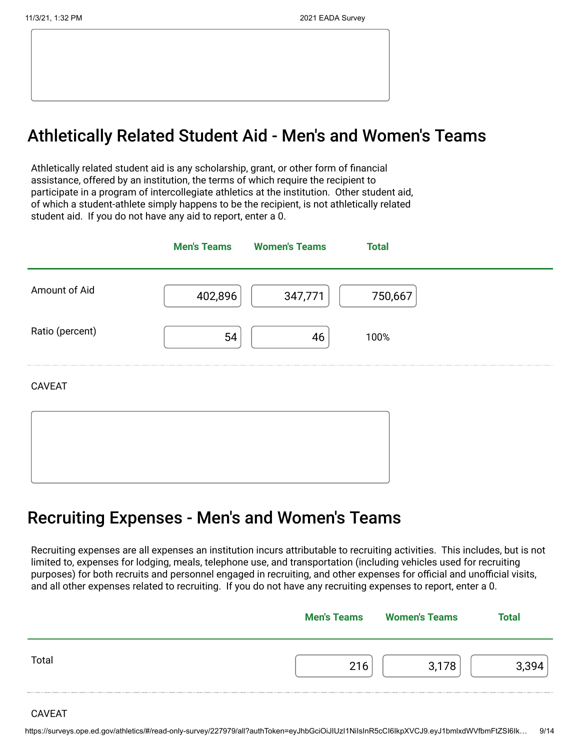### Athletically Related Student Aid - Men's and Women's Teams

Athletically related student aid is any scholarship, grant, or other form of financial assistance, offered by an institution, the terms of which require the recipient to participate in a program of intercollegiate athletics at the institution. Other student aid, of which a student-athlete simply happens to be the recipient, is not athletically related student aid. If you do not have any aid to report, enter a 0.

|                 |         | <b>Men's Teams</b> Women's Teams | <b>Total</b> |
|-----------------|---------|----------------------------------|--------------|
| Amount of Aid   | 402,896 | 347,771                          | 750,667      |
| Ratio (percent) | 54      | 46                               | 100%         |
| <b>CAVEAT</b>   |         |                                  |              |
|                 |         |                                  |              |
|                 |         |                                  |              |

### Recruiting Expenses - Men's and Women's Teams

Recruiting expenses are all expenses an institution incurs attributable to recruiting activities. This includes, but is not limited to, expenses for lodging, meals, telephone use, and transportation (including vehicles used for recruiting purposes) for both recruits and personnel engaged in recruiting, and other expenses for official and unofficial visits, and all other expenses related to recruiting. If you do not have any recruiting expenses to report, enter a 0.

|       | <b>Men's Teams</b> | <b>Women's Teams</b> | Total |
|-------|--------------------|----------------------|-------|
| Total |                    |                      |       |
|       |                    |                      |       |

CAVEAT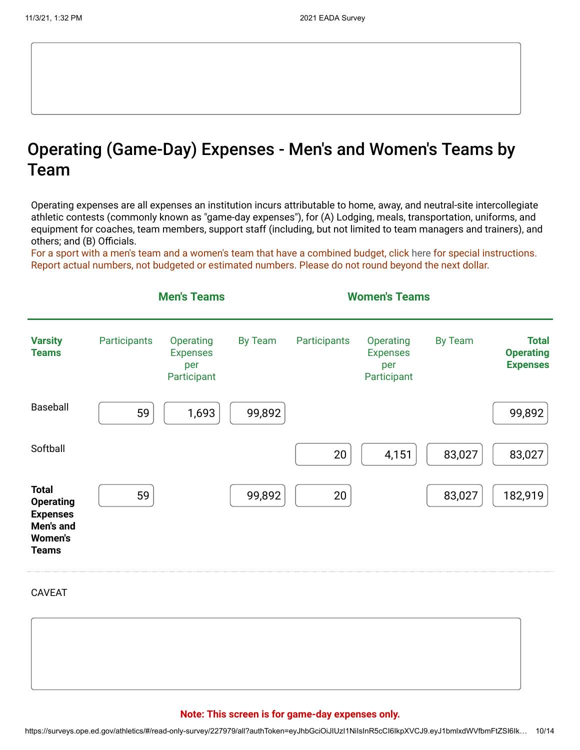### Operating (Game-Day) Expenses - Men's and Women's Teams by Team

Operating expenses are all expenses an institution incurs attributable to home, away, and neutral-site intercollegiate athletic contests (commonly known as "game-day expenses"), for (A) Lodging, meals, transportation, uniforms, and equipment for coaches, team members, support staff (including, but not limited to team managers and trainers), and others; and (B) Officials.

For a sport with a men's team and a women's team that have a combined budget, click [here](https://surveys.ope.ed.gov/athletics2k21/wwwroot/documents/inst_1.pdf) for special instructions. Report actual numbers, not budgeted or estimated numbers. Please do not round beyond the next dollar.



CAVEAT

#### **Note: This screen is for game-day expenses only.**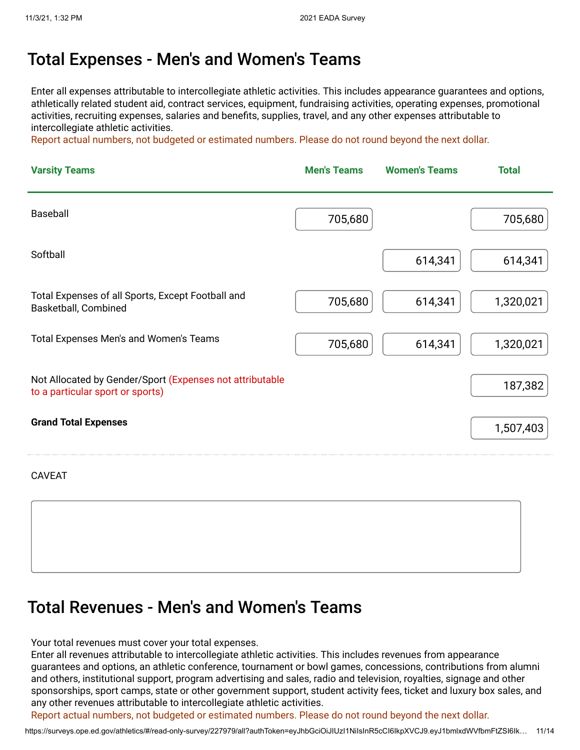#### Total Expenses - Men's and Women's Teams

Enter all expenses attributable to intercollegiate athletic activities. This includes appearance guarantees and options, athletically related student aid, contract services, equipment, fundraising activities, operating expenses, promotional activities, recruiting expenses, salaries and benefits, supplies, travel, and any other expenses attributable to intercollegiate athletic activities.

Report actual numbers, not budgeted or estimated numbers. Please do not round beyond the next dollar.

| <b>Varsity Teams</b>                                                                         | <b>Men's Teams</b> | <b>Women's Teams</b> | <b>Total</b> |
|----------------------------------------------------------------------------------------------|--------------------|----------------------|--------------|
| Baseball                                                                                     | 705,680            |                      | 705,680      |
| Softball                                                                                     |                    | 614,341              | 614,341      |
| Total Expenses of all Sports, Except Football and<br>Basketball, Combined                    | 705,680            | 614,341              | 1,320,021    |
| Total Expenses Men's and Women's Teams                                                       | 705,680            | 614,341              | 1,320,021    |
| Not Allocated by Gender/Sport (Expenses not attributable<br>to a particular sport or sports) |                    |                      | 187,382      |
| <b>Grand Total Expenses</b>                                                                  |                    |                      | 1,507,403    |

CAVEAT

### Total Revenues - Men's and Women's Teams

Your total revenues must cover your total expenses.

Enter all revenues attributable to intercollegiate athletic activities. This includes revenues from appearance guarantees and options, an athletic conference, tournament or bowl games, concessions, contributions from alumni and others, institutional support, program advertising and sales, radio and television, royalties, signage and other sponsorships, sport camps, state or other government support, student activity fees, ticket and luxury box sales, and any other revenues attributable to intercollegiate athletic activities.

Report actual numbers, not budgeted or estimated numbers. Please do not round beyond the next dollar.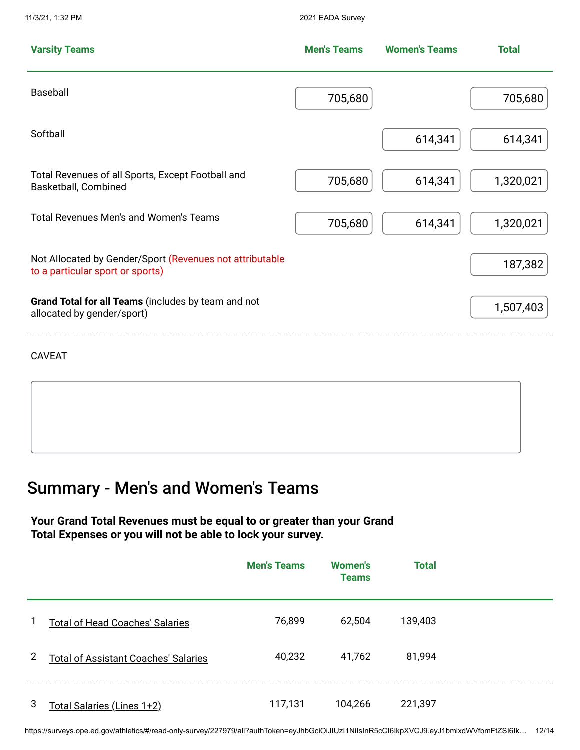**Varsity Teams Men's Teams Women's Teams Total** Baseball  $\begin{bmatrix} 705,680 \end{bmatrix}$  700,680  $\begin{bmatrix} 705,680 \end{bmatrix}$  705,680 Softball 614,341  $\begin{bmatrix} 614,341 \end{bmatrix}$  614,341 Total Revenues of all Sports, Except Football and Basketball, Combined **Basketball**, Combined **614,341** 1,320,021 Total Revenues Men's and Women's Teams  $\begin{array}{|c|c|c|c|c|}\hline & 705,680 & & 614,341 & & 1,320,021\hline \end{array}$ Not Allocated by Gender/Sport (Revenues not attributable to a particular sport or sports) and the ventures not attributable<br>to a particular sport or sports) **Grand Total for all Teams** (includes by team and not allocated by gender/sport) and the discussion of the discussion of the discussion of the discussion of the discussion of the discussion of the discussion of the discussion of the discussion of the discussion of the discuss

CAVEAT

### Summary - Men's and Women's Teams

11/3/21, 1:32 PM 2021 EADA Survey

#### **Your Grand Total Revenues must be equal to or greater than your Grand Total Expenses or you will not be able to lock your survey.**

|              |                                             | <b>Men's Teams</b> | <b>Women's</b><br><b>Teams</b> | <b>Total</b> |  |
|--------------|---------------------------------------------|--------------------|--------------------------------|--------------|--|
|              | <b>Total of Head Coaches' Salaries</b>      | 76,899             | 62,504                         | 139,403      |  |
| $\mathbf{2}$ | <b>Total of Assistant Coaches' Salaries</b> | 40,232             | 41,762                         | 81,994       |  |
| 3            | <u> Fotal Salaries (Lines 1+2)</u>          | 117,131            | 104,266                        | 221,397      |  |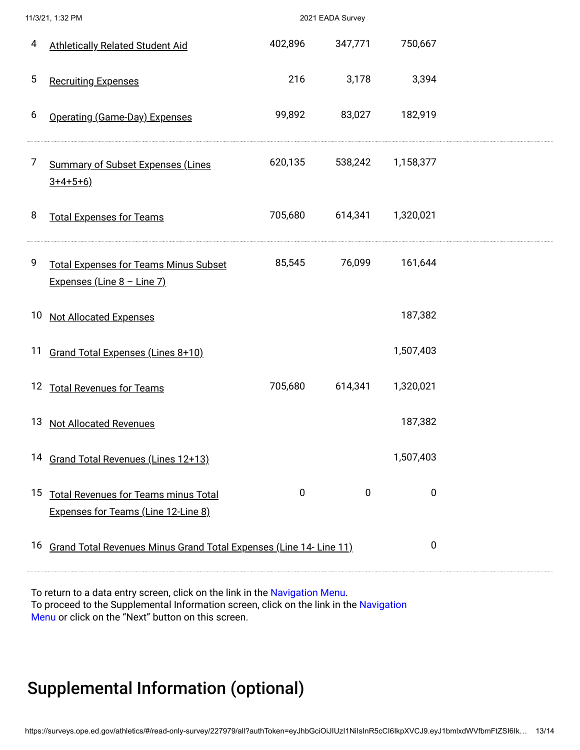|                 | 11/3/21, 1:32 PM                                                                      |             | 2021 EADA Survey |                   |  |
|-----------------|---------------------------------------------------------------------------------------|-------------|------------------|-------------------|--|
| 4               | <b>Athletically Related Student Aid</b>                                               | 402,896     | 347,771          | 750,667           |  |
| 5               | <b>Recruiting Expenses</b>                                                            | 216         | 3,178            | 3,394             |  |
| 6               | Operating (Game-Day) Expenses                                                         | 99,892      | 83,027           | 182,919           |  |
| 7               | <b>Summary of Subset Expenses (Lines</b><br>$3+4+5+6$ )                               | 620,135     |                  | 538,242 1,158,377 |  |
| 8               | <b>Total Expenses for Teams</b>                                                       | 705,680     | 614,341          | 1,320,021         |  |
| 9               | <b>Total Expenses for Teams Minus Subset</b><br>Expenses (Line $8 -$ Line 7)          | 85,545      | 76,099           | 161,644           |  |
| 10 <sub>2</sub> | <b>Not Allocated Expenses</b>                                                         |             |                  | 187,382           |  |
| 11              | Grand Total Expenses (Lines 8+10)                                                     |             |                  | 1,507,403         |  |
|                 | 12 Total Revenues for Teams                                                           | 705,680     | 614,341          | 1,320,021         |  |
| 13              | <b>Not Allocated Revenues</b>                                                         |             |                  | 187,382           |  |
|                 | 14 Grand Total Revenues (Lines 12+13)                                                 |             |                  | 1,507,403         |  |
|                 | 15 Total Revenues for Teams minus Total<br><b>Expenses for Teams (Line 12-Line 8)</b> | $\mathbf 0$ | $\pmb{0}$        | 0                 |  |
|                 | 16 Grand Total Revenues Minus Grand Total Expenses (Line 14- Line 11)                 |             |                  | $\pmb{0}$         |  |

To return to a data entry screen, click on the link in the Navigation Menu. To proceed to the Supplemental Information screen, click on the link in the Navigation Menu or click on the "Next" button on this screen.

### Supplemental Information (optional)